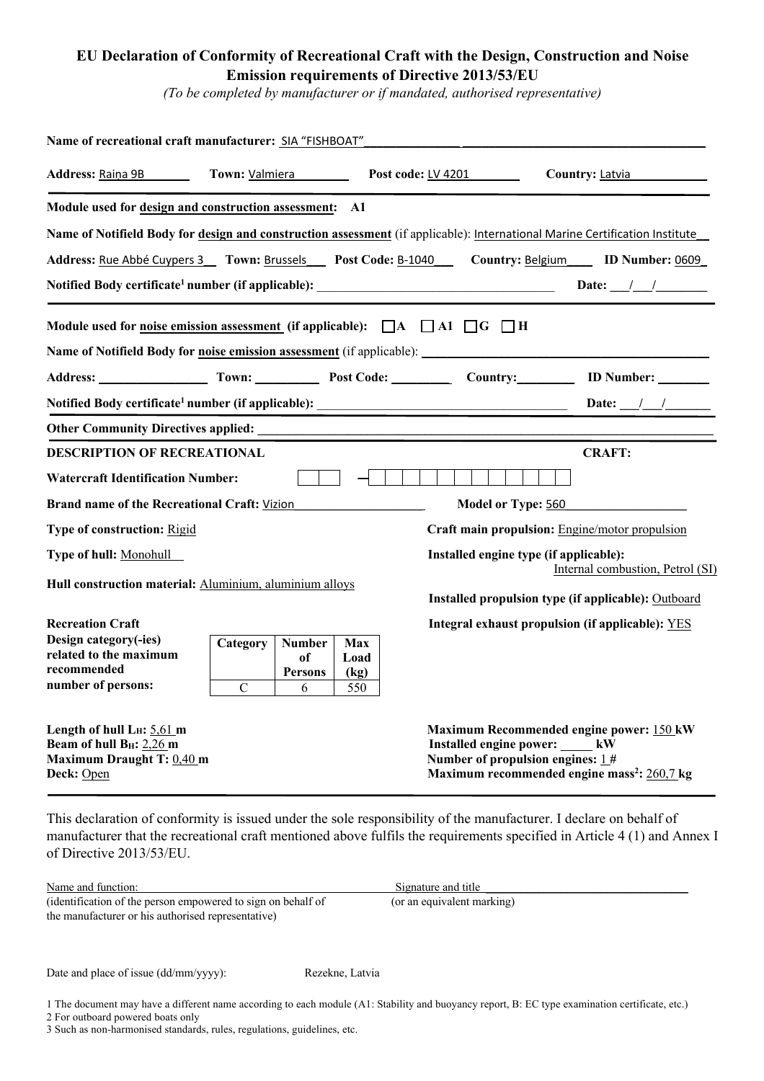## **EU Declaration of Conformity of Recreational Craft with the Design, Construction and Noise Emission requirements of Directive 2013/53/EU**

*(To be completed by manufacturer or if mandated, authorised representative)*

| Name of recreational craft manufacturer: SIA "FISHBOAT"                                                                     |                                             |                                            |                            |                                                |                                  |                                                                                                     |
|-----------------------------------------------------------------------------------------------------------------------------|---------------------------------------------|--------------------------------------------|----------------------------|------------------------------------------------|----------------------------------|-----------------------------------------------------------------------------------------------------|
| Address: Raina 9B                                                                                                           | Town: Valmiera<br><b>Post code: LV 4201</b> |                                            |                            |                                                |                                  | Country: Latvia                                                                                     |
| Module used for design and construction assessment: A1                                                                      |                                             |                                            |                            |                                                |                                  |                                                                                                     |
| Name of Notifield Body for design and construction assessment (if applicable): International Marine Certification Institute |                                             |                                            |                            |                                                |                                  |                                                                                                     |
| Address: Rue Abbé Cuypers 3 Town: Brussels Post Code: B-1040 Country: Belgium ID Number: 0609                               |                                             |                                            |                            |                                                |                                  |                                                                                                     |
| Notified Body certificate <sup>1</sup> number (if applicable): __________________________________                           |                                             |                                            |                            |                                                |                                  | Date: $\frac{1}{\sqrt{2}}$                                                                          |
| Module used for <u>noise emission assessment</u> (if applicable): $\Box A$ $\Box A1$ $\Box G$ $\Box$ H                      |                                             |                                            |                            |                                                |                                  |                                                                                                     |
|                                                                                                                             |                                             |                                            |                            |                                                |                                  |                                                                                                     |
| Address: Town: Town: Post Code: Country: UD Number:                                                                         |                                             |                                            |                            |                                                |                                  |                                                                                                     |
|                                                                                                                             |                                             |                                            |                            |                                                |                                  | Date: $\frac{1}{\sqrt{2}}$                                                                          |
|                                                                                                                             |                                             |                                            |                            |                                                |                                  |                                                                                                     |
| <b>DESCRIPTION OF RECREATIONAL</b>                                                                                          |                                             |                                            |                            |                                                |                                  | <b>CRAFT:</b>                                                                                       |
| <b>Watercraft Identification Number:</b>                                                                                    |                                             |                                            |                            |                                                |                                  |                                                                                                     |
| Brand name of the Recreational Craft: Vizion                                                                                |                                             |                                            |                            | Model or Type: 560                             |                                  |                                                                                                     |
| <b>Type of construction: Rigid</b>                                                                                          |                                             |                                            |                            | Craft main propulsion: Engine/motor propulsion |                                  |                                                                                                     |
| Type of hull: Monohull                                                                                                      |                                             |                                            |                            | Installed engine type (if applicable):         |                                  | Internal combustion, Petrol (SI)                                                                    |
| Hull construction material: Aluminium, aluminium alloys                                                                     |                                             |                                            |                            |                                                |                                  | Installed propulsion type (if applicable): Outboard                                                 |
| <b>Recreation Craft</b>                                                                                                     |                                             |                                            |                            |                                                |                                  | Integral exhaust propulsion (if applicable): YES                                                    |
| Design category(-ies)<br>related to the maximum<br>recommended<br>number of persons:                                        | Category<br>$\mathcal{C}$                   | <b>Number</b><br>of<br><b>Persons</b><br>6 | Max<br>Load<br>(kg)<br>550 |                                                |                                  |                                                                                                     |
| Length of hull $L_H$ : 5,61 m<br>Beam of hull B <sub>H</sub> : 2,26 m<br>Maximum Draught T: 0,40 m<br>Deck: Open            |                                             |                                            |                            | Number of propulsion engines: $1#$             | Installed engine power: _____ kW | Maximum Recommended engine power: 150 kW<br>Maximum recommended engine mass <sup>2</sup> : 260,7 kg |

This declaration of conformity is issued under the sole responsibility of the manufacturer. I declare on behalf of manufacturer that the recreational craft mentioned above fulfils the requirements specified in Article 4 (1) and Annex I of Directive 2013/53/EU.

| Name and function:                                           | Signature and title        |
|--------------------------------------------------------------|----------------------------|
| (identification of the person empowered to sign on behalf of | (or an equivalent marking) |
| the manufacturer or his authorised representative)           |                            |

Date and place of issue (dd/mm/yyyy): Rezekne, Latvia

1 The document may have a different name according to each module (A1: Stability and buoyancy report, B: EC type examination certificate, etc.)

2 For outboard powered boats only

<sup>3</sup> Such as non-harmonised standards, rules, regulations, guidelines, etc.